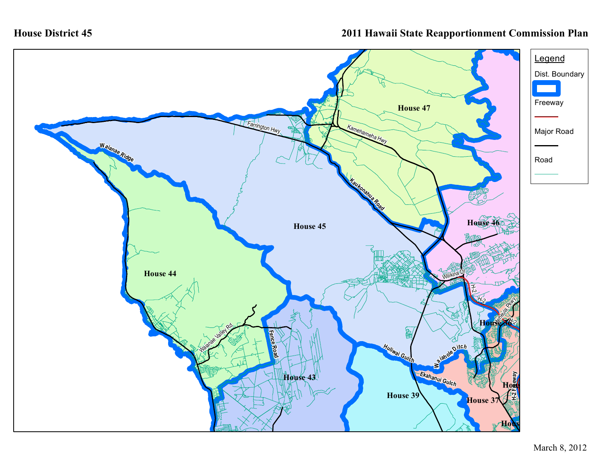## **2011 Hawaii State Reapportionment Commission Plan**

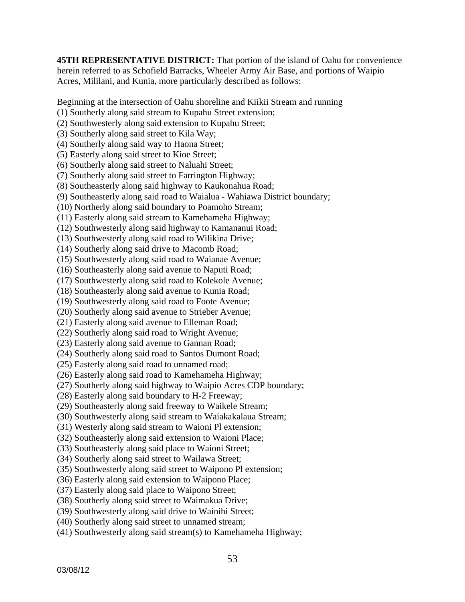**45TH REPRESENTATIVE DISTRICT:** That portion of the island of Oahu for convenience herein referred to as Schofield Barracks, Wheeler Army Air Base, and portions of Waipio Acres, Mililani, and Kunia, more particularly described as follows:

Beginning at the intersection of Oahu shoreline and Kiikii Stream and running

- (1) Southerly along said stream to Kupahu Street extension;
- (2) Southwesterly along said extension to Kupahu Street;
- (3) Southerly along said street to Kila Way;
- (4) Southerly along said way to Haona Street;
- (5) Easterly along said street to Kioe Street;
- (6) Southerly along said street to Naluahi Street;

(7) Southerly along said street to Farrington Highway;

- (8) Southeasterly along said highway to Kaukonahua Road;
- (9) Southeasterly along said road to Waialua Wahiawa District boundary;
- (10) Northerly along said boundary to Poamoho Stream;
- (11) Easterly along said stream to Kamehameha Highway;
- (12) Southwesterly along said highway to Kamananui Road;
- (13) Southwesterly along said road to Wilikina Drive;
- (14) Southerly along said drive to Macomb Road;
- (15) Southwesterly along said road to Waianae Avenue;
- (16) Southeasterly along said avenue to Naputi Road;
- (17) Southwesterly along said road to Kolekole Avenue;
- (18) Southeasterly along said avenue to Kunia Road;
- (19) Southwesterly along said road to Foote Avenue;
- (20) Southerly along said avenue to Strieber Avenue;
- (21) Easterly along said avenue to Elleman Road;
- (22) Southerly along said road to Wright Avenue;
- (23) Easterly along said avenue to Gannan Road;
- (24) Southerly along said road to Santos Dumont Road;
- (25) Easterly along said road to unnamed road;
- (26) Easterly along said road to Kamehameha Highway;
- (27) Southerly along said highway to Waipio Acres CDP boundary;
- (28) Easterly along said boundary to H-2 Freeway;
- (29) Southeasterly along said freeway to Waikele Stream;
- (30) Southwesterly along said stream to Waiakakalaua Stream;
- (31) Westerly along said stream to Waioni Pl extension;
- (32) Southeasterly along said extension to Waioni Place;
- (33) Southeasterly along said place to Waioni Street;
- (34) Southerly along said street to Wailawa Street;
- (35) Southwesterly along said street to Waipono Pl extension;
- (36) Easterly along said extension to Waipono Place;
- (37) Easterly along said place to Waipono Street;
- (38) Southerly along said street to Waimakua Drive;
- (39) Southwesterly along said drive to Wainihi Street;
- (40) Southerly along said street to unnamed stream;
- (41) Southwesterly along said stream(s) to Kamehameha Highway;